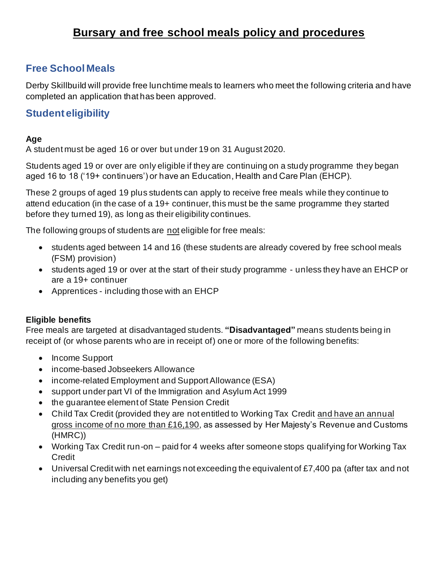# **Bursary and free school meals policy and procedures**

## **Free School Meals**

Derby Skillbuild will provide free lunchtime meals to learners who meet the following criteria and have completed an application that has been approved.

### **Student eligibility**

### **Age**

A student must be aged 16 or over but under 19 on 31 August 2020.

Students aged 19 or over are only eligible if they are continuing on a study programme they began aged 16 to 18 ('19+ continuers') or have an Education, Health and Care Plan (EHCP).

These 2 groups of aged 19 plus students can apply to receive free meals while they continue to attend education (in the case of a 19+ continuer, this must be the same programme they started before they turned 19), as long as their eligibility continues.

The following groups of students are not eligible for free meals:

- students aged between 14 and 16 (these students are already covered by free school meals (FSM) provision)
- students aged 19 or over at the start of their study programme unless they have an EHCP or are a 19+ continuer
- Apprentices including those with an EHCP

### **Eligible benefits**

Free meals are targeted at disadvantaged students. **"Disadvantaged"** means students being in receipt of (or whose parents who are in receipt of) one or more of the following benefits:

- Income Support
- income-based Jobseekers Allowance
- income-related Employment and Support Allowance (ESA)
- support under part VI of the Immigration and Asylum Act 1999
- the guarantee element of State Pension Credit
- Child Tax Credit (provided they are not entitled to Working Tax Credit and have an annual gross income of no more than £16,190, as assessed by Her Majesty's Revenue and Customs (HMRC))
- Working Tax Credit run-on paid for 4 weeks after someone stops qualifying for Working Tax **Credit**
- Universal Credit with net earnings not exceeding the equivalent of £7,400 pa (after tax and not including any benefits you get)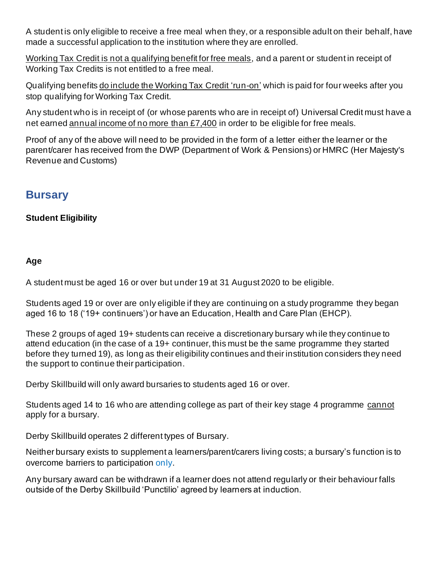A student is only eligible to receive a free meal when they, or a responsible adult on their behalf, have made a successful application to the institution where they are enrolled.

Working Tax Credit is not a qualifying benefit for free meals, and a parent or student in receipt of Working Tax Credits is not entitled to a free meal.

Qualifying benefits do include the Working Tax Credit 'run-on' which is paid for four weeks after you stop qualifying for Working Tax Credit.

Any student who is in receipt of (or whose parents who are in receipt of) Universal Credit must have a net earned annual income of no more than £7,400 in order to be eligible for free meals.

Proof of any of the above will need to be provided in the form of a letter either the learner or the parent/carer has received from the DWP (Department of Work & Pensions) or HMRC (Her Majesty's Revenue and Customs)

## **Bursary**

### **Student Eligibility**

### **Age**

A student must be aged 16 or over but under 19 at 31 August 2020 to be eligible.

Students aged 19 or over are only eligible if they are continuing on a study programme they began aged 16 to 18 ('19+ continuers') or have an Education, Health and Care Plan (EHCP).

These 2 groups of aged 19+ students can receive a discretionary bursary wh ile they continue to attend education (in the case of a 19+ continuer, this must be the same programme they started before they turned 19), as long as their eligibility continues and their institution considers they need the support to continue their participation.

Derby Skillbuild will only award bursaries to students aged 16 or over.

Students aged 14 to 16 who are attending college as part of their key stage 4 programme cannot apply for a bursary.

Derby Skillbuild operates 2 different types of Bursary.

Neither bursary exists to supplement a learners/parent/carers living costs; a bursary's function is to overcome barriers to participation only.

Any bursary award can be withdrawn if a learner does not attend regularly or their behaviour falls outside of the Derby Skillbuild 'Punctilio' agreed by learners at induction.